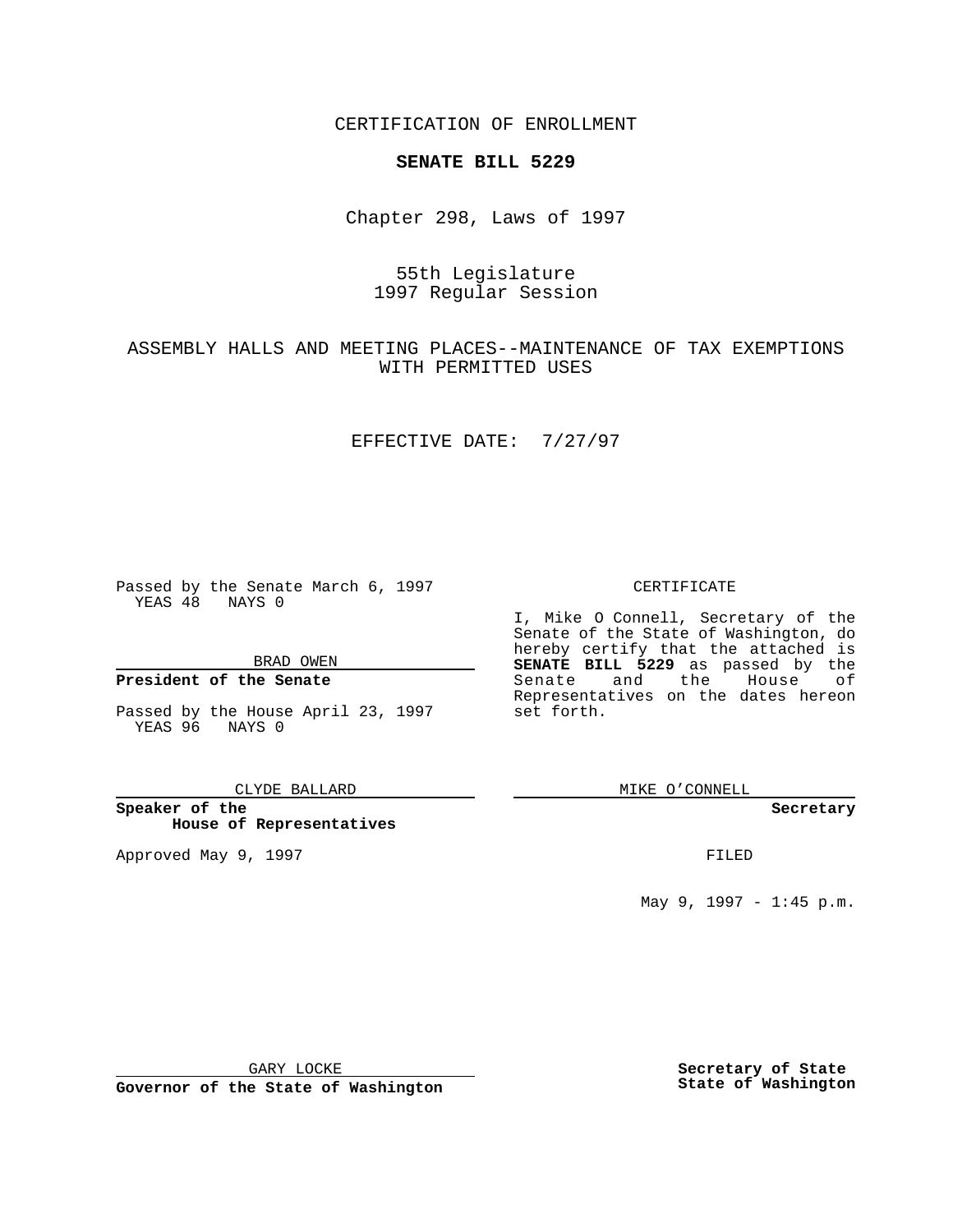CERTIFICATION OF ENROLLMENT

# **SENATE BILL 5229**

Chapter 298, Laws of 1997

# 55th Legislature 1997 Regular Session

# ASSEMBLY HALLS AND MEETING PLACES--MAINTENANCE OF TAX EXEMPTIONS WITH PERMITTED USES

### EFFECTIVE DATE: 7/27/97

Passed by the Senate March 6, 1997 YEAS 48 NAYS 0

BRAD OWEN

### **President of the Senate**

Passed by the House April 23, 1997 YEAS 96 NAYS 0

#### CLYDE BALLARD

**Speaker of the House of Representatives**

Approved May 9, 1997 **FILED** 

### CERTIFICATE

I, Mike O Connell, Secretary of the Senate of the State of Washington, do hereby certify that the attached is **SENATE BILL 5229** as passed by the Senate and the House of Representatives on the dates hereon set forth.

MIKE O'CONNELL

#### **Secretary**

May 9, 1997 - 1:45 p.m.

GARY LOCKE

**Governor of the State of Washington**

**Secretary of State State of Washington**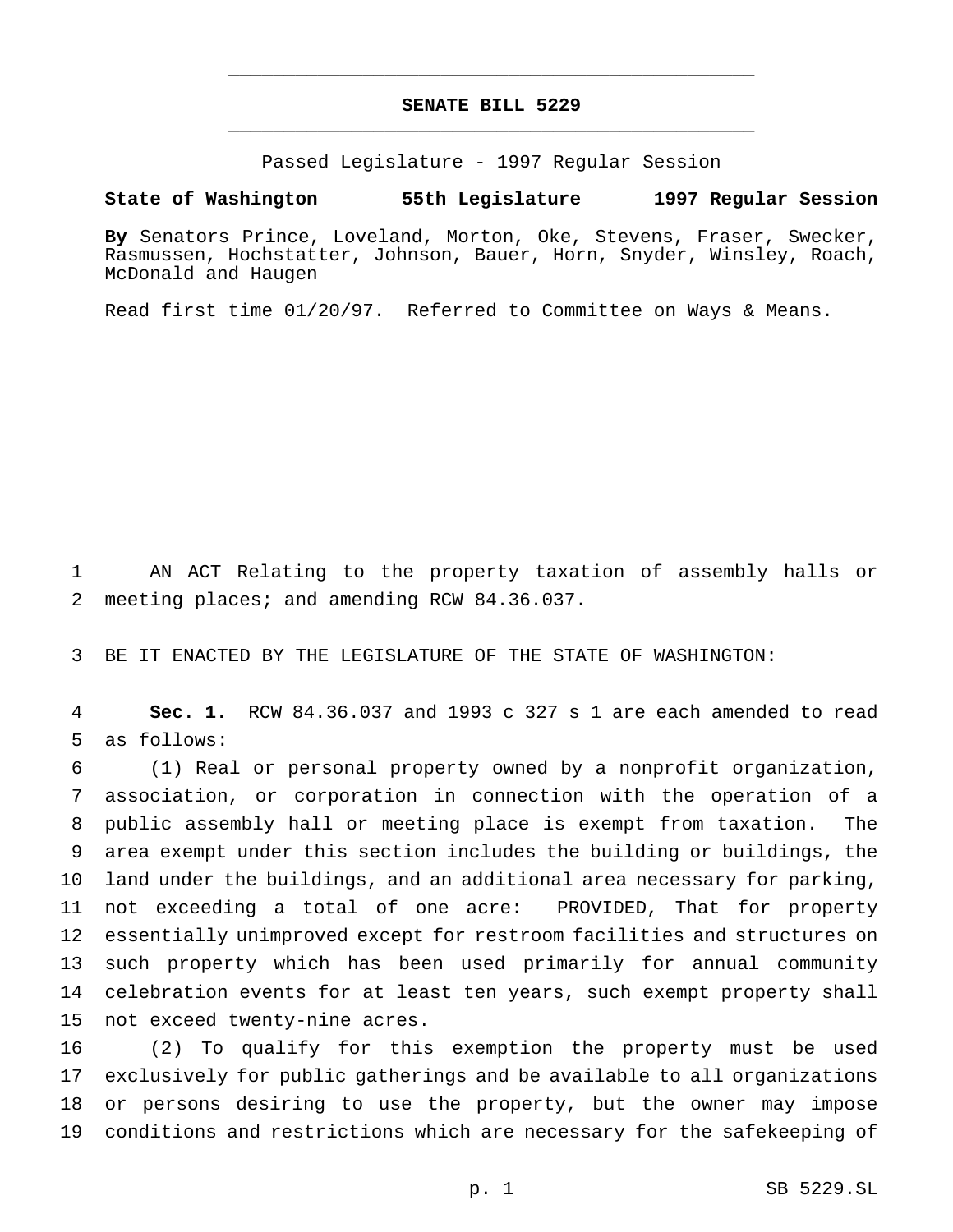# **SENATE BILL 5229** \_\_\_\_\_\_\_\_\_\_\_\_\_\_\_\_\_\_\_\_\_\_\_\_\_\_\_\_\_\_\_\_\_\_\_\_\_\_\_\_\_\_\_\_\_\_\_

\_\_\_\_\_\_\_\_\_\_\_\_\_\_\_\_\_\_\_\_\_\_\_\_\_\_\_\_\_\_\_\_\_\_\_\_\_\_\_\_\_\_\_\_\_\_\_

Passed Legislature - 1997 Regular Session

### **State of Washington 55th Legislature 1997 Regular Session**

**By** Senators Prince, Loveland, Morton, Oke, Stevens, Fraser, Swecker, Rasmussen, Hochstatter, Johnson, Bauer, Horn, Snyder, Winsley, Roach, McDonald and Haugen

Read first time 01/20/97. Referred to Committee on Ways & Means.

 AN ACT Relating to the property taxation of assembly halls or meeting places; and amending RCW 84.36.037.

BE IT ENACTED BY THE LEGISLATURE OF THE STATE OF WASHINGTON:

 **Sec. 1.** RCW 84.36.037 and 1993 c 327 s 1 are each amended to read as follows:

 (1) Real or personal property owned by a nonprofit organization, association, or corporation in connection with the operation of a public assembly hall or meeting place is exempt from taxation. The area exempt under this section includes the building or buildings, the land under the buildings, and an additional area necessary for parking, not exceeding a total of one acre: PROVIDED, That for property essentially unimproved except for restroom facilities and structures on such property which has been used primarily for annual community celebration events for at least ten years, such exempt property shall not exceed twenty-nine acres.

 (2) To qualify for this exemption the property must be used exclusively for public gatherings and be available to all organizations or persons desiring to use the property, but the owner may impose conditions and restrictions which are necessary for the safekeeping of